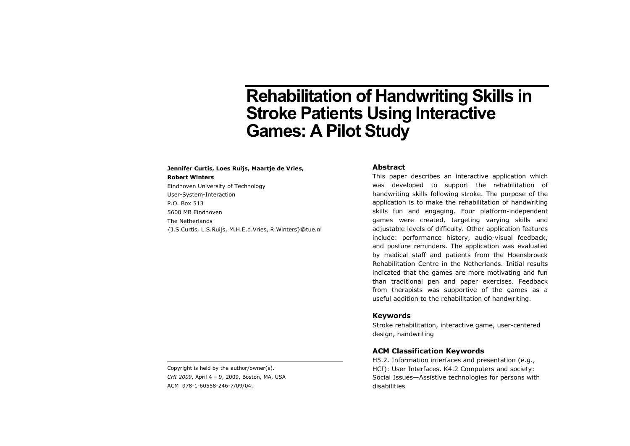# Rehabilitation of Handwriting Skills in Stroke Patients Using Interactive Games: A Pilot Study

# Jennifer Curtis, Loes Ruijs, Maartje de Vries, Robert Winters

Eindhoven University of Technology User-System-Interaction P.O. Box 513 5600 MB Eindhoven The Netherlands {J.S.Curtis, L.S.Ruijs, M.H.E.d.Vries, R.Winters}@tue.nl

## Abstract

This paper describes an interactive application which was developed to support the rehabilitation of handwriting skills following stroke. The purpose of the application is to make the rehabilitation of handwriting skills fun and engaging. Four platform-independent games were created, targeting varying skills and adjustable levels of difficulty. Other application features include: performance history, audio-visual feedback, and posture reminders. The application was evaluated by medical staff and patients from the Hoensbroeck Rehabilitation Centre in the Netherlands. Initial results indicated that the games are more motivating and fun than traditional pen and paper exercises. Feedback from therapists was supportive of the games as a useful addition to the rehabilitation of handwriting.

# Keywords

 Stroke rehabilitation, interactive game, user-centered design, handwriting

# ACM Classification Keywords

H5.2. Information interfaces and presentation (e.g., HCI): User Interfaces. K4.2 Computers and society: Social Issues—Assistive technologies for persons with disabilities

Copyright is held by the author/owner(s). CHI 2009, April 4 – 9, 2009, Boston, MA, USA ACM 978-1-60558-246-7/09/04.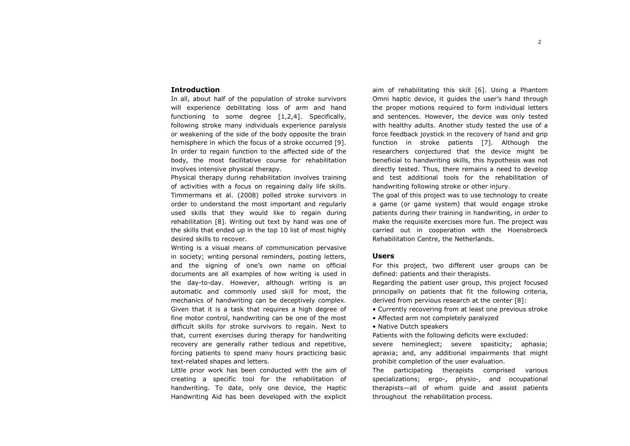# Introduction

 In all, about half of the population of stroke survivors will experience debilitating loss of arm and hand functioning to some degree [1,2,4]. Specifically, following stroke many individuals experience paralysis or weakening of the side of the body opposite the brain hemisphere in which the focus of a stroke occurred [9]. In order to regain function to the affected side of the body, the most facilitative course for rehabilitation involves intensive physical therapy.

Physical therapy during rehabilitation involves training of activities with a focus on regaining daily life skills. Timmermans et al. (2008) polled stroke survivors in order to understand the most important and regularly used skills that they would like to regain during rehabilitation [8]. Writing out text by hand was one of the skills that ended up in the top 10 list of most highly desired skills to recover.

Writing is a visual means of communication pervasive in society; writing personal reminders, posting letters, and the signing of one's own name on official documents are all examples of how writing is used in the day-to-day. However, although writing is an automatic and commonly used skill for most, the mechanics of handwriting can be deceptively complex. Given that it is a task that requires a high degree of fine motor control, handwriting can be one of the most difficult skills for stroke survivors to regain. Next to that, current exercises during therapy for handwriting recovery are generally rather tedious and repetitive, forcing patients to spend many hours practicing basic text-related shapes and letters.

Little prior work has been conducted with the aim of creating a specific tool for the rehabilitation of handwriting. To date, only one device, the Haptic Handwriting Aid has been developed with the explicit

aim of rehabilitating this skill [6]. Using a Phantom Omni haptic device, it guides the user's hand through the proper motions required to form individual letters and sentences. However, the device was only tested with healthy adults. Another study tested the use of a force feedback joystick in the recovery of hand and grip function in stroke patients [7]. Although the researchers conjectured that the device might be beneficial to handwriting skills, this hypothesis was not directly tested. Thus, there remains a need to develop and test additional tools for the rehabilitation ofhandwriting following stroke or other injury.

 The goal of this project was to use technology to create a game (or game system) that would engage stroke patients during their training in handwriting, in order to make the requisite exercises more fun. The project was carried out in cooperation with the Hoensbroeck Rehabilitation Centre, the Netherlands.

# Users

For this project, two different user groups can be defined: patients and their therapists.

 Regarding the patient user group, this project focused principally on patients that fit the following criteria, derived from pervious research at the center [8]:

- Currently recovering from at least one previous stroke
- Affected arm not completely paralyzed
- Native Dutch speakers

Patients with the following deficits were excluded:

 severe hemineglect; severe spasticity; aphasia; apraxia; and, any additional impairments that mightprohibit completion of the user evaluation.

The participating therapists comprised various specializations; ergo-, physio-, and occupational therapists—all of whom guide and assist patients throughout the rehabilitation process.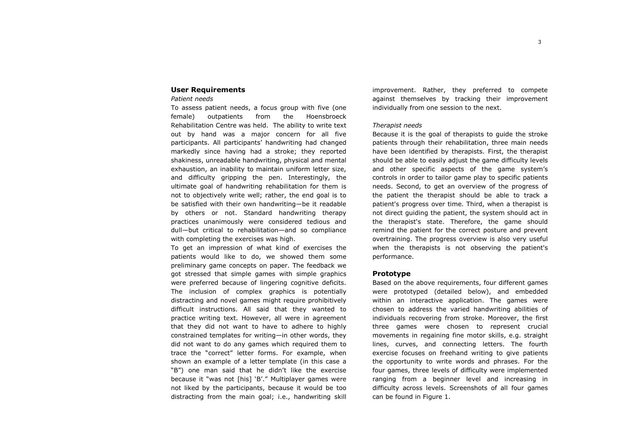# User Requirements

#### Patient needs

To assess patient needs, a focus group with five (one female) outpatients from the Hoensbroeck Rehabilitation Centre was held. The ability to write text out by hand was a major concern for all five participants. All participants' handwriting had changed markedly since having had a stroke; they reported shakiness, unreadable handwriting, physical and mental exhaustion, an inability to maintain uniform letter size, and difficulty gripping the pen. Interestingly, the ultimate goal of handwriting rehabilitation for them is not to objectively write well; rather, the end goal is to be satisfied with their own handwriting—be it readable by others or not. Standard handwriting therapy practices unanimously were considered tedious and dull—but critical to rehabilitation—and so compliance with completing the exercises was high.

To get an impression of what kind of exercises the patients would like to do, we showed them some preliminary game concepts on paper. The feedback we got stressed that simple games with simple graphics were preferred because of lingering cognitive deficits. The inclusion of complex graphics is potentially distracting and novel games might require prohibitively difficult instructions. All said that they wanted to practice writing text. However, all were in agreement that they did not want to have to adhere to highly constrained templates for writing—in other words, they did not want to do any games which required them to trace the "correct" letter forms. For example, when shown an example of a letter template (in this case a "B") one man said that he didn't like the exercise because it "was not [his] 'B'." Multiplayer games were not liked by the participants, because it would be too distracting from the main goal; i.e., handwriting skill

improvement. Rather, they preferred to compete against themselves by tracking their improvement individually from one session to the next.

#### Therapist needs

Because it is the goal of therapists to guide the stroke patients through their rehabilitation, three main needs have been identified by therapists. First, the therapist should be able to easily adjust the game difficulty levels and other specific aspects of the game system's controls in order to tailor game play to specific patients needs. Second, to get an overview of the progress of the patient the therapist should be able to track a patient's progress over time. Third, when a therapist is not direct guiding the patient, the system should act in the therapist's state. Therefore, the game should remind the patient for the correct posture and prevent overtraining. The progress overview is also very useful when the therapists is not observing the patient's performance.

#### Prototype

 Based on the above requirements, four different games were prototyped (detailed below), and embedded within an interactive application. The games were chosen to address the varied handwriting abilities of individuals recovering from stroke. Moreover, the first three games were chosen to represent crucial movements in regaining fine motor skills, e.g. straight lines, curves, and connecting letters. The fourth exercise focuses on freehand writing to give patients the opportunity to write words and phrases. For the four games, three levels of difficulty were implemented ranging from a beginner level and increasing in difficulty across levels. Screenshots of all four games can be found in Figure 1.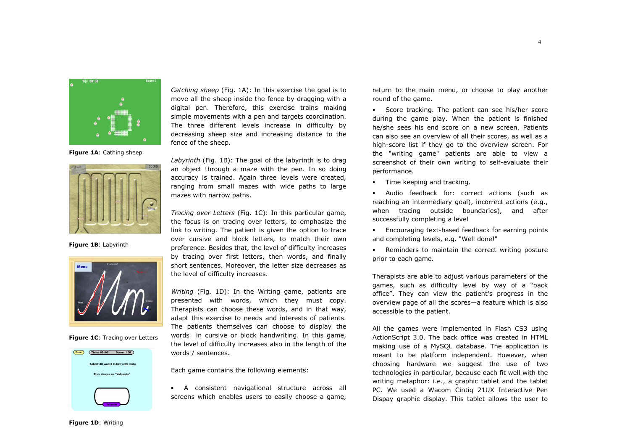

Figure 1A: Cathing sheep



Figure 1B: Labyrinth



Figure 1C: Tracing over Letters



Catching sheep (Fig. 1A): In this exercise the goal is to move all the sheep inside the fence by dragging with a digital pen. Therefore, this exercise trains making simple movements with a pen and targets coordination. The three different levels increase in difficulty by decreasing sheep size and increasing distance to the fence of the sheep.

Labyrinth (Fig. 1B): The goal of the labyrinth is to drag an object through a maze with the pen. In so doing accuracy is trained. Again three levels were created, ranging from small mazes with wide paths to large mazes with narrow paths.

Tracing over Letters (Fig. 1C): In this particular game, the focus is on tracing over letters, to emphasize the link to writing. The patient is given the option to trace over cursive and block letters, to match their own preference. Besides that, the level of difficulty increases by tracing over first letters, then words, and finally short sentences. Moreover, the letter size decreases as the level of difficulty increases.

Writing (Fig. 1D): In the Writing game, patients are presented with words, which they must copy. Therapists can choose these words, and in that way, adapt this exercise to needs and interests of patients. The patients themselves can choose to display the words in cursive or block handwriting. In this game, the level of difficulty increases also in the length of the words / sentences.

Each game contains the following elements:

 A consistent navigational structure across all screens which enables users to easily choose a game,

return to the main menu, or choose to play another round of the game.

- Score tracking. The patient can see his/her score during the game play. When the patient is finished he/she sees his end score on a new screen. Patients can also see an overview of all their scores, as well as a high-score list if they go to the overview screen. For the "writing game" patients are able to view a screenshot of their own writing to self-evaluate their performance.
- **Time keeping and tracking.**
- г Audio feedback for: correct actions (such as reaching an intermediary goal), incorrect actions (e.g., when tracing outside boundaries), and after successfully completing a level
- Encouraging text-based feedback for earning points and completing levels, e.g. "Well done!"
- Reminders to maintain the correct writing posture prior to each game.

Therapists are able to adjust various parameters of the games, such as difficulty level by way of a "back office". They can view the patient's progress in the overview page of all the scores—a feature which is also accessible to the patient.

All the games were implemented in Flash CS3 using ActionScript 3.0. The back office was created in HTML making use of a MySQL database. The application is meant to be platform independent. However, when choosing hardware we suggest the use of two technologies in particular, because each fit well with the writing metaphor: i.e., a graphic tablet and the tablet PC. We used a Wacom Cintiq 21UX Interactive Pen Dispay graphic display. This tablet allows the user to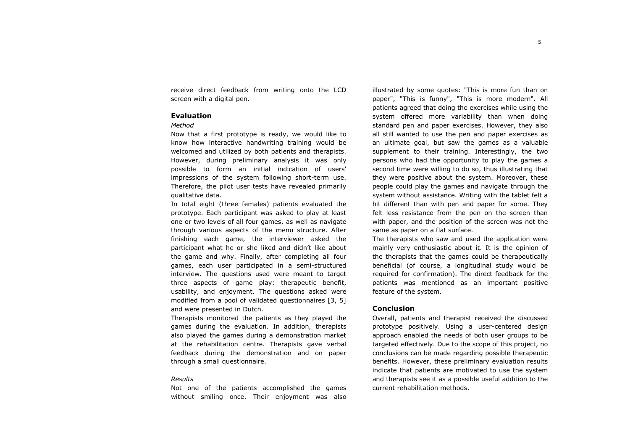receive direct feedback from writing onto the LCD screen with a digital pen.

# Evaluation

# Method

Now that a first prototype is ready, we would like to know how interactive handwriting training would be welcomed and utilized by both patients and therapists. However, during preliminary analysis it was only possible to form an initial indication of users' impressions of the system following short-term use. Therefore, the pilot user tests have revealed primarily qualitative data.

 In total eight (three females) patients evaluated the prototype. Each participant was asked to play at least one or two levels of all four games, as well as navigate through various aspects of the menu structure. After finishing each game, the interviewer asked the participant what he or she liked and didn't like about the game and why. Finally, after completing all four games, each user participated in a semi-structured interview. The questions used were meant to target three aspects of game play: therapeutic benefit, usability, and enjoyment. The questions asked were modified from a pool of validated questionnaires [3, 5] and were presented in Dutch.

Therapists monitored the patients as they played the games during the evaluation. In addition, therapists also played the games during a demonstration marketat the rehabilitation centre. Therapists gave verbal feedback during the demonstration and on paper through a small questionnaire.

#### Results

Not one of the patients accomplished the games without smiling once. Their enjoyment was also illustrated by some quotes: "This is more fun than on paper", "This is funny", "This is more modern". Allpatients agreed that doing the exercises while using the system offered more variability than when doing standard pen and paper exercises. However, they also all still wanted to use the pen and paper exercises as an ultimate goal, but saw the games as a valuable supplement to their training. Interestingly, the two persons who had the opportunity to play the games a second time were willing to do so, thus illustrating that they were positive about the system. Moreover, these people could play the games and navigate through the system without assistance. Writing with the tablet felt a bit different than with pen and paper for some. They felt less resistance from the pen on the screen than with paper, and the position of the screen was not the same as paper on a flat surface.

The therapists who saw and used the application were mainly very enthusiastic about it. It is the opinion of the therapists that the games could be therapeutically beneficial (of course, a longitudinal study would be required for confirmation). The direct feedback for the patients was mentioned as an important positive feature of the system.

# **Conclusion**

Overall, patients and therapist received the discussed prototype positively. Using a user-centered design approach enabled the needs of both user groups to be targeted effectively. Due to the scope of this project, no conclusions can be made regarding possible therapeutic benefits. However, these preliminary evaluation results indicate that patients are motivated to use the system and therapists see it as a possible useful addition to the current rehabilitation methods.